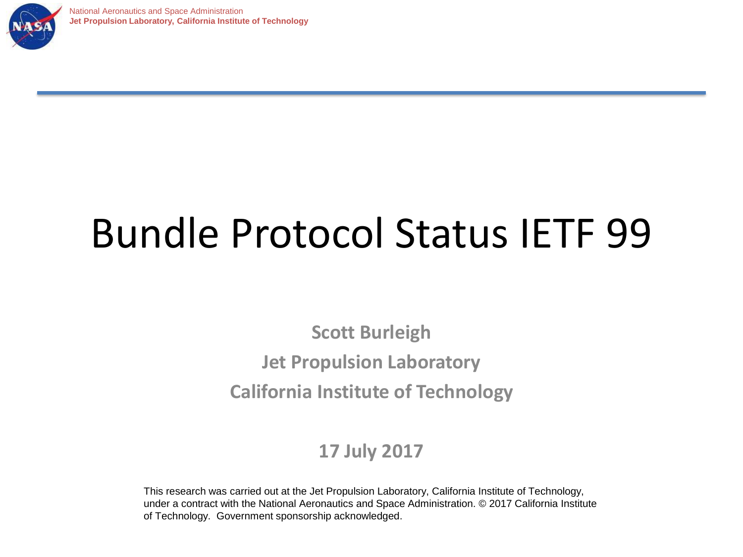

# Bundle Protocol Status IETF 99

**Scott Burleigh Jet Propulsion Laboratory California Institute of Technology**

#### **17 July 2017**

This research was carried out at the Jet Propulsion Laboratory, California Institute of Technology, under a contract with the National Aeronautics and Space Administration. © 2017 California Institute of Technology. Government sponsorship acknowledged.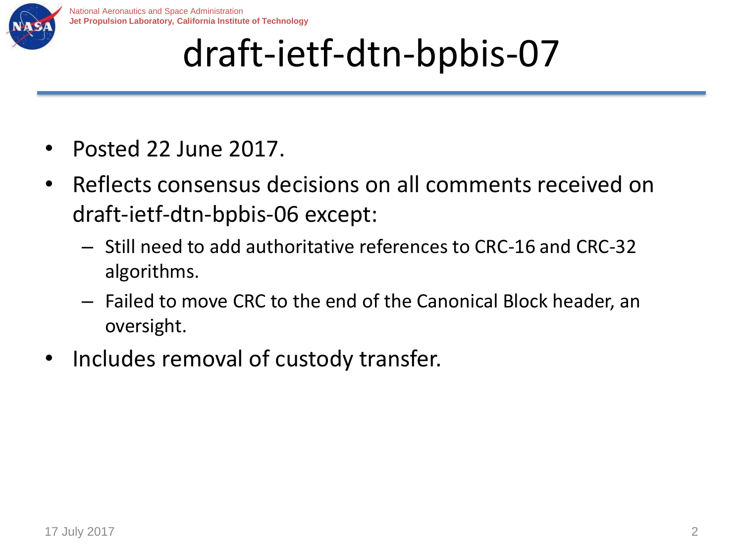

#### draft-ietf-dtn-bpbis-07

- Posted 22 June 2017.
- Reflects consensus decisions on all comments received on draft-ietf-dtn-bpbis-06 except:
	- Still need to add authoritative references to CRC-16 and CRC-32 algorithms.
	- Failed to move CRC to the end of the Canonical Block header, an oversight.
- Includes removal of custody transfer.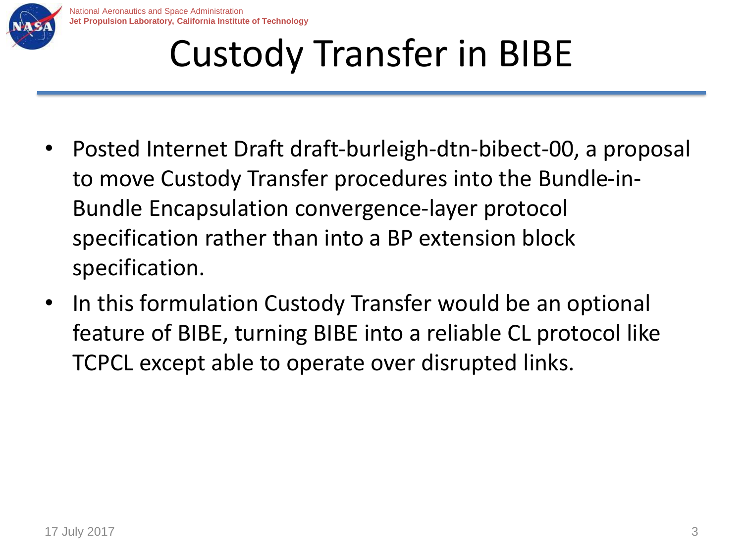

#### Custody Transfer in BIBE

- Posted Internet Draft draft-burleigh-dtn-bibect-00, a proposal to move Custody Transfer procedures into the Bundle-in-Bundle Encapsulation convergence-layer protocol specification rather than into a BP extension block specification.
- In this formulation Custody Transfer would be an optional feature of BIBE, turning BIBE into a reliable CL protocol like TCPCL except able to operate over disrupted links.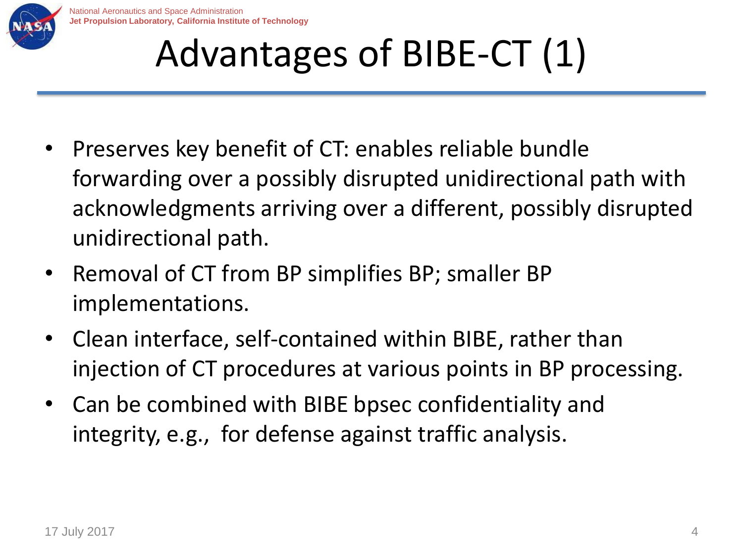

## Advantages of BIBE-CT (1)

- Preserves key benefit of CT: enables reliable bundle forwarding over a possibly disrupted unidirectional path with acknowledgments arriving over a different, possibly disrupted unidirectional path.
- Removal of CT from BP simplifies BP; smaller BP implementations.
- Clean interface, self-contained within BIBE, rather than injection of CT procedures at various points in BP processing.
- Can be combined with BIBE bpsec confidentiality and integrity, e.g., for defense against traffic analysis.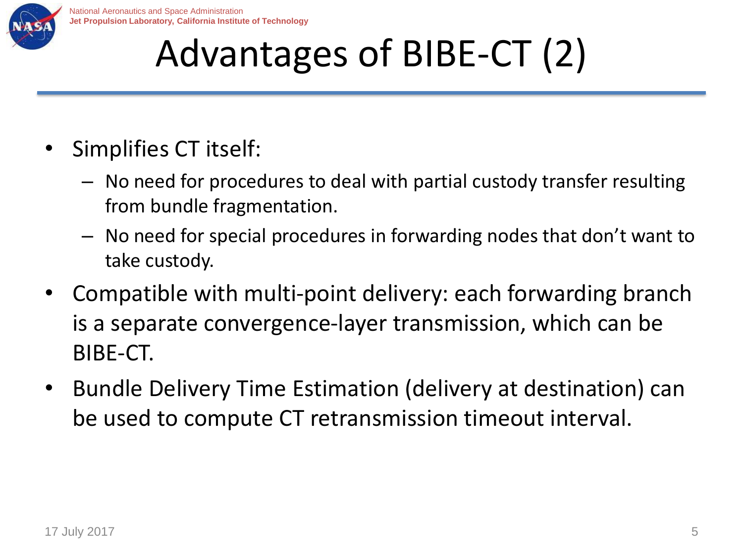

## Advantages of BIBE-CT (2)

- Simplifies CT itself:
	- No need for procedures to deal with partial custody transfer resulting from bundle fragmentation.
	- No need for special procedures in forwarding nodes that don't want to take custody.
- Compatible with multi-point delivery: each forwarding branch is a separate convergence-layer transmission, which can be BIBE-CT.
- Bundle Delivery Time Estimation (delivery at destination) can be used to compute CT retransmission timeout interval.